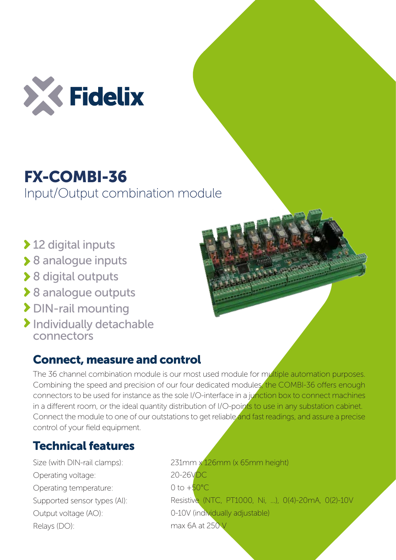

## FX-COMBI-36

Input/Output combination module

- ◆ 12 digital inputs
- ▶ 8 analogue inputs
- ◆ 8 digital outputs
- **▶ 8 analogue outputs**
- DIN-rail mounting
- > Individually detachable connectors

## Connect, measure and control

The 36 channel combination module is our most used module for multiple automation purposes. Combining the speed and precision of our four dedicated modules, the COMBI-36 offers enough connectors to be used for instance as the sole I/O-interface in a junction box to connect machines in a different room, or the ideal quantity distribution of I/O-points to use in any substation cabinet. Connect the module to one of our outstations to get reliable and fast readings, and assure a precise control of your field equipment.

## Technical features

Size (with DIN-rail clamps): Operating voltage: Operating temperature: Supported sensor types (AI): Output voltage (AO): Relays (DO):

231mm x 126mm (x 65mm height) 20-26VDC  $0$  to  $+50^{\circ}$ C. Resistive (NTC, PT1000, Ni, ...), 0(4)-20mA, 0(2)-10V 0-10V (individually adjustable) max 6A at 250 V